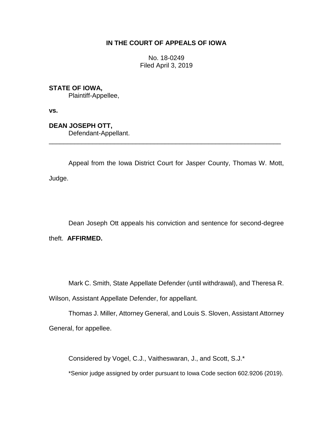# **IN THE COURT OF APPEALS OF IOWA**

No. 18-0249 Filed April 3, 2019

## **STATE OF IOWA,**

Plaintiff-Appellee,

**vs.**

**DEAN JOSEPH OTT,**

Defendant-Appellant.

Appeal from the Iowa District Court for Jasper County, Thomas W. Mott, Judge.

\_\_\_\_\_\_\_\_\_\_\_\_\_\_\_\_\_\_\_\_\_\_\_\_\_\_\_\_\_\_\_\_\_\_\_\_\_\_\_\_\_\_\_\_\_\_\_\_\_\_\_\_\_\_\_\_\_\_\_\_\_\_\_\_

Dean Joseph Ott appeals his conviction and sentence for second-degree theft. **AFFIRMED.**

Mark C. Smith, State Appellate Defender (until withdrawal), and Theresa R.

Wilson, Assistant Appellate Defender, for appellant.

Thomas J. Miller, Attorney General, and Louis S. Sloven, Assistant Attorney General, for appellee.

Considered by Vogel, C.J., Vaitheswaran, J., and Scott, S.J.\*

\*Senior judge assigned by order pursuant to Iowa Code section 602.9206 (2019).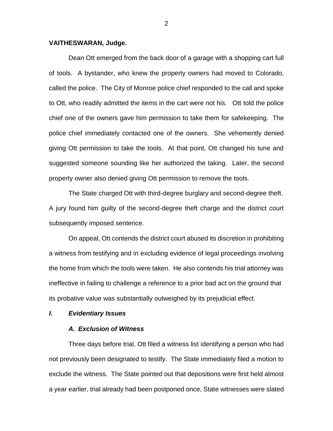## **VAITHESWARAN, Judge.**

Dean Ott emerged from the back door of a garage with a shopping cart full of tools. A bystander, who knew the property owners had moved to Colorado, called the police. The City of Monroe police chief responded to the call and spoke to Ott, who readily admitted the items in the cart were not his. Ott told the police chief one of the owners gave him permission to take them for safekeeping. The police chief immediately contacted one of the owners. She vehemently denied giving Ott permission to take the tools. At that point, Ott changed his tune and suggested someone sounding like her authorized the taking. Later, the second property owner also denied giving Ott permission to remove the tools.

The State charged Ott with third-degree burglary and second-degree theft. A jury found him guilty of the second-degree theft charge and the district court subsequently imposed sentence.

On appeal, Ott contends the district court abused its discretion in prohibiting a witness from testifying and in excluding evidence of legal proceedings involving the home from which the tools were taken. He also contends his trial attorney was ineffective in failing to challenge a reference to a prior bad act on the ground that its probative value was substantially outweighed by its prejudicial effect.

#### *I. Evidentiary Issues*

## *A. Exclusion of Witness*

Three days before trial, Ott filed a witness list identifying a person who had not previously been designated to testify. The State immediately filed a motion to exclude the witness. The State pointed out that depositions were first held almost a year earlier, trial already had been postponed once, State witnesses were slated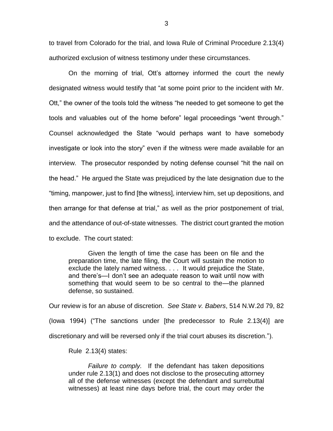to travel from Colorado for the trial, and Iowa Rule of Criminal Procedure 2.13(4) authorized exclusion of witness testimony under these circumstances.

On the morning of trial, Ott's attorney informed the court the newly designated witness would testify that "at some point prior to the incident with Mr. Ott," the owner of the tools told the witness "he needed to get someone to get the tools and valuables out of the home before" legal proceedings "went through." Counsel acknowledged the State "would perhaps want to have somebody investigate or look into the story" even if the witness were made available for an interview. The prosecutor responded by noting defense counsel "hit the nail on the head." He argued the State was prejudiced by the late designation due to the "timing, manpower, just to find [the witness], interview him, set up depositions, and then arrange for that defense at trial," as well as the prior postponement of trial, and the attendance of out-of-state witnesses. The district court granted the motion to exclude. The court stated:

Given the length of time the case has been on file and the preparation time, the late filing, the Court will sustain the motion to exclude the lately named witness. . . . It would prejudice the State, and there's—I don't see an adequate reason to wait until now with something that would seem to be so central to the—the planned defense, so sustained.

Our review is for an abuse of discretion. *See State v. Babers*, 514 N.W.2d 79, 82 (Iowa 1994) ("The sanctions under [the predecessor to Rule 2.13(4)] are discretionary and will be reversed only if the trial court abuses its discretion.").

Rule 2.13(4) states:

*Failure to comply.* If the defendant has taken depositions under rule 2.13(1) and does not disclose to the prosecuting attorney all of the defense witnesses (except the defendant and surrebuttal witnesses) at least nine days before trial, the court may order the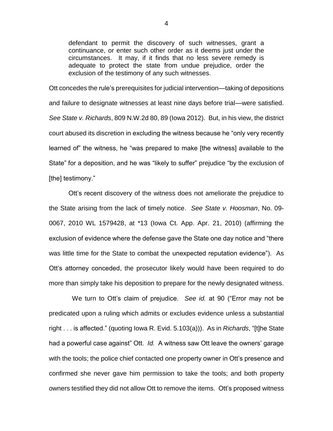defendant to permit the discovery of such witnesses, grant a continuance, or enter such other order as it deems just under the circumstances. It may, if it finds that no less severe remedy is adequate to protect the state from undue prejudice, order the exclusion of the testimony of any such witnesses.

Ott concedes the rule's prerequisites for judicial intervention—taking of depositions and failure to designate witnesses at least nine days before trial—were satisfied. *See State v. Richards*, 809 N.W.2d 80, 89 (Iowa 2012). But, in his view, the district court abused its discretion in excluding the witness because he "only very recently learned of" the witness, he "was prepared to make [the witness] available to the State" for a deposition, and he was "likely to suffer" prejudice "by the exclusion of [the] testimony."

Ott's recent discovery of the witness does not ameliorate the prejudice to the State arising from the lack of timely notice. *See State v. Hoosman*, No. 09- 0067, 2010 WL 1579428, at \*13 (Iowa Ct. App. Apr. 21, 2010) (affirming the exclusion of evidence where the defense gave the State one day notice and "there was little time for the State to combat the unexpected reputation evidence"). As Ott's attorney conceded, the prosecutor likely would have been required to do more than simply take his deposition to prepare for the newly designated witness.

We turn to Ott's claim of prejudice. *See id.* at 90 ("Error may not be predicated upon a ruling which admits or excludes evidence unless a substantial right . . . is affected." (quoting Iowa R. Evid. 5.103(a))). As in *Richards*, "[t]he State had a powerful case against" Ott. *Id.* A witness saw Ott leave the owners' garage with the tools; the police chief contacted one property owner in Ott's presence and confirmed she never gave him permission to take the tools; and both property owners testified they did not allow Ott to remove the items. Ott's proposed witness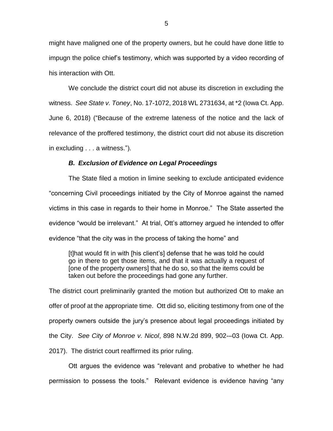might have maligned one of the property owners, but he could have done little to impugn the police chief's testimony, which was supported by a video recording of his interaction with Ott.

We conclude the district court did not abuse its discretion in excluding the witness. *See State v. Toney*, No. 17-1072, 2018 WL 2731634, at \*2 (Iowa Ct. App. June 6, 2018) ("Because of the extreme lateness of the notice and the lack of relevance of the proffered testimony, the district court did not abuse its discretion in excluding . . . a witness.").

#### *B. Exclusion of Evidence on Legal Proceedings*

The State filed a motion in limine seeking to exclude anticipated evidence "concerning Civil proceedings initiated by the City of Monroe against the named victims in this case in regards to their home in Monroe." The State asserted the evidence "would be irrelevant." At trial, Ott's attorney argued he intended to offer evidence "that the city was in the process of taking the home" and

[t]hat would fit in with [his client's] defense that he was told he could go in there to get those items, and that it was actually a request of [one of the property owners] that he do so, so that the items could be taken out before the proceedings had gone any further.

The district court preliminarily granted the motion but authorized Ott to make an offer of proof at the appropriate time. Ott did so, eliciting testimony from one of the property owners outside the jury's presence about legal proceedings initiated by the City. *See City of Monroe v. Nicol*, 898 N.W.2d 899, 902-–03 (Iowa Ct. App. 2017). The district court reaffirmed its prior ruling.

Ott argues the evidence was "relevant and probative to whether he had permission to possess the tools." Relevant evidence is evidence having "any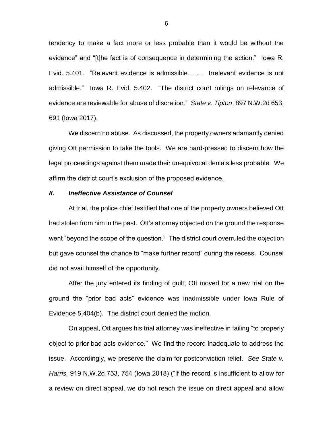tendency to make a fact more or less probable than it would be without the evidence" and "[t]he fact is of consequence in determining the action." Iowa R. Evid. 5.401. "Relevant evidence is admissible. . . . Irrelevant evidence is not admissible." Iowa R. Evid. 5.402. "The district court rulings on relevance of evidence are reviewable for abuse of discretion." *State v. Tipton*, 897 N.W.2d 653, 691 (Iowa 2017).

We discern no abuse. As discussed, the property owners adamantly denied giving Ott permission to take the tools. We are hard-pressed to discern how the legal proceedings against them made their unequivocal denials less probable. We affirm the district court's exclusion of the proposed evidence.

## *II. Ineffective Assistance of Counsel*

At trial, the police chief testified that one of the property owners believed Ott had stolen from him in the past. Ott's attorney objected on the ground the response went "beyond the scope of the question." The district court overruled the objection but gave counsel the chance to "make further record" during the recess. Counsel did not avail himself of the opportunity.

After the jury entered its finding of guilt, Ott moved for a new trial on the ground the "prior bad acts" evidence was inadmissible under Iowa Rule of Evidence 5.404(b). The district court denied the motion.

On appeal, Ott argues his trial attorney was ineffective in failing "to properly object to prior bad acts evidence." We find the record inadequate to address the issue. Accordingly, we preserve the claim for postconviction relief. *See State v. Harris,* 919 N.W.2d 753, 754 (Iowa 2018) ("If the record is insufficient to allow for a review on direct appeal, we do not reach the issue on direct appeal and allow